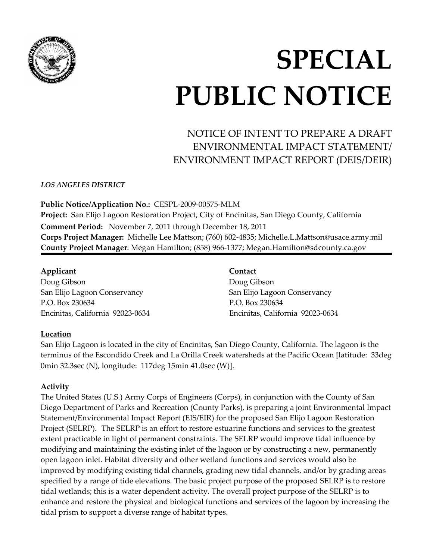

# **SPECIAL PUBLIC NOTICE**

# NOTICE OF INTENT TO PREPARE A DRAFT ENVIRONMENTAL IMPACT STATEMENT/ ENVIRONMENT IMPACT REPORT (DEIS/DEIR)

*LOS ANGELES DISTRICT*

**Public Notice/Application No.:** CESPL-2009-00575-MLM **Project:** San Elijo Lagoon Restoration Project, City of Encinitas, San Diego County, California **Comment Period:** November 7, 2011 through December 18, 2011 **Corps Project Manager:** Michelle Lee Mattson; (760) 602-4835; [Michelle.L.Mattson@usace.army.mil](mailto:Michelle.L.Mattson@usace.army.mil) **County Project Manager**: Megan Hamilton; (858) 966-1377; [Megan.Hamilton@sdcounty.ca.gov](mailto:Megan.Hamilton@sdcounty.ca.gov)

## **Applicant**

Doug Gibson San Elijo Lagoon Conservancy P.O. Box 230634 Encinitas, California 92023-0634

# **Contact**

Doug Gibson San Elijo Lagoon Conservancy P.O. Box 230634 Encinitas, California 92023-0634

# **Location**

San Elijo Lagoon is located in the city of Encinitas, San Diego County, California. The lagoon is the terminus of the Escondido Creek and La Orilla Creek watersheds at the Pacific Ocean [latitude: 33deg 0min 32.3sec (N), longitude: 117deg 15min 41.0sec (W)].

# **Activity**

The United States (U.S.) Army Corps of Engineers (Corps), in conjunction with the County of San Diego Department of Parks and Recreation (County Parks), is preparing a joint Environmental Impact Statement/Environmental Impact Report (EIS/EIR) for the proposed San Elijo Lagoon Restoration Project (SELRP). The SELRP is an effort to restore estuarine functions and services to the greatest extent practicable in light of permanent constraints. The SELRP would improve tidal influence by modifying and maintaining the existing inlet of the lagoon or by constructing a new, permanently open lagoon inlet. Habitat diversity and other wetland functions and services would also be improved by modifying existing tidal channels, grading new tidal channels, and/or by grading areas specified by a range of tide elevations. The basic project purpose of the proposed SELRP is to restore tidal wetlands; this is a water dependent activity. The overall project purpose of the SELRP is to enhance and restore the physical and biological functions and services of the lagoon by increasing the tidal prism to support a diverse range of habitat types.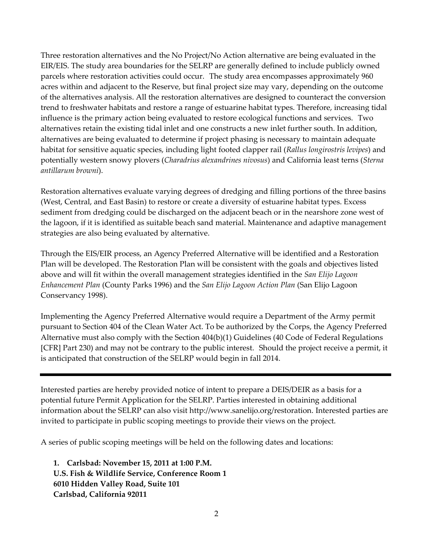Three restoration alternatives and the No Project/No Action alternative are being evaluated in the EIR/EIS. The study area boundaries for the SELRP are generally defined to include publicly owned parcels where restoration activities could occur. The study area encompasses approximately 960 acres within and adjacent to the Reserve, but final project size may vary, depending on the outcome of the alternatives analysis. All the restoration alternatives are designed to counteract the conversion trend to freshwater habitats and restore a range of estuarine habitat types. Therefore, increasing tidal influence is the primary action being evaluated to restore ecological functions and services. Two alternatives retain the existing tidal inlet and one constructs a new inlet further south. In addition, alternatives are being evaluated to determine if project phasing is necessary to maintain adequate habitat for sensitive aquatic species, including light footed clapper rail (*Rallus longirostris levipes*) and potentially western snowy plovers (*Charadrius alexandrines nivosus*) and California least terns (*Sterna antillarum browni*).

Restoration alternatives evaluate varying degrees of dredging and filling portions of the three basins (West, Central, and East Basin) to restore or create a diversity of estuarine habitat types. Excess sediment from dredging could be discharged on the adjacent beach or in the nearshore zone west of the lagoon, if it is identified as suitable beach sand material. Maintenance and adaptive management strategies are also being evaluated by alternative.

Through the EIS/EIR process, an Agency Preferred Alternative will be identified and a Restoration Plan will be developed. The Restoration Plan will be consistent with the goals and objectives listed above and will fit within the overall management strategies identified in the *San Elijo Lagoon Enhancement Plan* (County Parks 1996) and the *San Elijo Lagoon Action Plan* (San Elijo Lagoon Conservancy 1998).

Implementing the Agency Preferred Alternative would require a Department of the Army permit pursuant to Section 404 of the Clean Water Act. To be authorized by the Corps, the Agency Preferred Alternative must also comply with the Section 404(b)(1) Guidelines (40 Code of Federal Regulations [CFR] Part 230) and may not be contrary to the public interest. Should the project receive a permit, it is anticipated that construction of the SELRP would begin in fall 2014.

Interested parties are hereby provided notice of intent to prepare a DEIS/DEIR as a basis for a potential future Permit Application for the SELRP. Parties interested in obtaining additional information about the SELRP can also visit http://www.sanelijo.org/restoration. Interested parties are invited to participate in public scoping meetings to provide their views on the project.

A series of public scoping meetings will be held on the following dates and locations:

**1. Carlsbad: November 15, 2011 at 1:00 P.M. U.S. Fish & Wildlife Service, Conference Room 1 6010 Hidden Valley Road, Suite 101 Carlsbad, California 92011**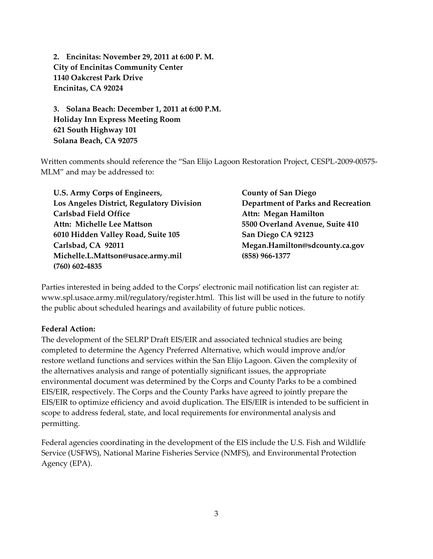**2. Encinitas: November 29, 2011 at 6:00 P. M. City of Encinitas Community Center 1140 Oakcrest Park Drive Encinitas, CA 92024**

**3. Solana Beach: December 1, 2011 at 6:00 P.M. Holiday Inn Express Meeting Room 621 South Highway 101 Solana Beach, CA 92075** 

Written comments should reference the "San Elijo Lagoon Restoration Project, CESPL-2009-00575- MLM" and may be addressed to:

| U.S. Army Corps of Engineers,             | <b>County of San Diego</b>                |
|-------------------------------------------|-------------------------------------------|
| Los Angeles District, Regulatory Division | <b>Department of Parks and Recreation</b> |
| <b>Carlsbad Field Office</b>              | Attn: Megan Hamilton                      |
| Attn: Michelle Lee Mattson                | 5500 Overland Avenue, Suite 410           |
| 6010 Hidden Valley Road, Suite 105        | San Diego CA 92123                        |
| Carlsbad, CA 92011                        | Megan.Hamilton@sdcounty.ca.gov            |
| Michelle.L.Mattson@usace.army.mil         | (858) 966-1377                            |
| $(760)$ 602-4835                          |                                           |

Parties interested in being added to the Corps' electronic mail notification list can register at: www.spl.usace.army.mil/regulatory/register.html. This list will be used in the future to notify the public about scheduled hearings and availability of future public notices.

#### **Federal Action:**

The development of the SELRP Draft EIS/EIR and associated technical studies are being completed to determine the Agency Preferred Alternative, which would improve and/or restore wetland functions and services within the San Elijo Lagoon. Given the complexity of the alternatives analysis and range of potentially significant issues, the appropriate environmental document was determined by the Corps and County Parks to be a combined EIS/EIR, respectively. The Corps and the County Parks have agreed to jointly prepare the EIS/EIR to optimize efficiency and avoid duplication. The EIS/EIR is intended to be sufficient in scope to address federal, state, and local requirements for environmental analysis and permitting.

Federal agencies coordinating in the development of the EIS include the U.S. Fish and Wildlife Service (USFWS), National Marine Fisheries Service (NMFS), and Environmental Protection Agency (EPA).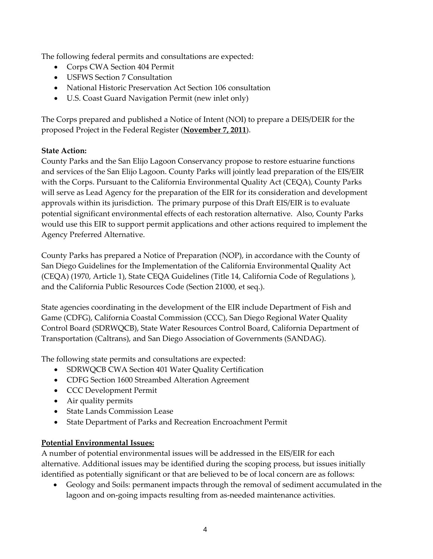The following federal permits and consultations are expected:

- Corps CWA Section 404 Permit
- USFWS Section 7 Consultation
- National Historic Preservation Act Section 106 consultation
- U.S. Coast Guard Navigation Permit (new inlet only)

The Corps prepared and published a Notice of Intent (NOI) to prepare a DEIS/DEIR for the proposed Project in the Federal Register (**November 7, 2011**).

## **State Action:**

County Parks and the San Elijo Lagoon Conservancy propose to restore estuarine functions and services of the San Elijo Lagoon. County Parks will jointly lead preparation of the EIS/EIR with the Corps. Pursuant to the California Environmental Quality Act (CEQA), County Parks will serve as Lead Agency for the preparation of the EIR for its consideration and development approvals within its jurisdiction. The primary purpose of this Draft EIS/EIR is to evaluate potential significant environmental effects of each restoration alternative. Also, County Parks would use this EIR to support permit applications and other actions required to implement the Agency Preferred Alternative.

County Parks has prepared a Notice of Preparation (NOP), in accordance with the County of San Diego Guidelines for the Implementation of the California Environmental Quality Act (CEQA) (1970, Article 1), State CEQA Guidelines (Title 14, California Code of Regulations ), and the California Public Resources Code (Section 21000, et seq.).

State agencies coordinating in the development of the EIR include Department of Fish and Game (CDFG), California Coastal Commission (CCC), San Diego Regional Water Quality Control Board (SDRWQCB), State Water Resources Control Board, California Department of Transportation (Caltrans), and San Diego Association of Governments (SANDAG).

The following state permits and consultations are expected:

- SDRWQCB CWA Section 401 Water Quality Certification
- CDFG Section 1600 Streambed Alteration Agreement
- CCC Development Permit
- Air quality permits
- State Lands Commission Lease
- State Department of Parks and Recreation Encroachment Permit

# **Potential Environmental Issues:**

A number of potential environmental issues will be addressed in the EIS/EIR for each alternative. Additional issues may be identified during the scoping process, but issues initially identified as potentially significant or that are believed to be of local concern are as follows:

 Geology and Soils: permanent impacts through the removal of sediment accumulated in the lagoon and on-going impacts resulting from as-needed maintenance activities.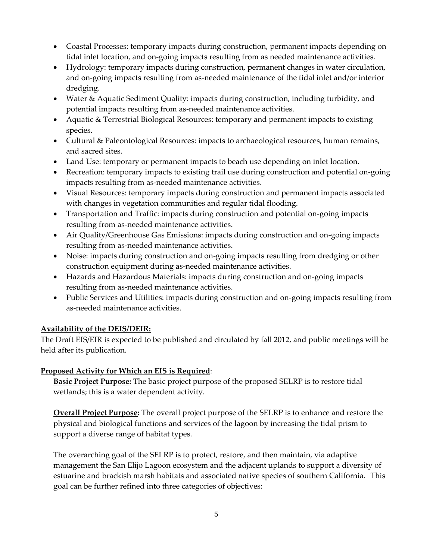- Coastal Processes: temporary impacts during construction, permanent impacts depending on tidal inlet location, and on-going impacts resulting from as needed maintenance activities.
- Hydrology: temporary impacts during construction, permanent changes in water circulation, and on-going impacts resulting from as-needed maintenance of the tidal inlet and/or interior dredging.
- Water & Aquatic Sediment Quality: impacts during construction, including turbidity, and potential impacts resulting from as-needed maintenance activities.
- Aquatic & Terrestrial Biological Resources: temporary and permanent impacts to existing species.
- Cultural & Paleontological Resources: impacts to archaeological resources, human remains, and sacred sites.
- Land Use: temporary or permanent impacts to beach use depending on inlet location.
- Recreation: temporary impacts to existing trail use during construction and potential on-going impacts resulting from as-needed maintenance activities.
- Visual Resources: temporary impacts during construction and permanent impacts associated with changes in vegetation communities and regular tidal flooding.
- Transportation and Traffic: impacts during construction and potential on-going impacts resulting from as-needed maintenance activities.
- Air Quality/Greenhouse Gas Emissions: impacts during construction and on-going impacts resulting from as-needed maintenance activities.
- Noise: impacts during construction and on-going impacts resulting from dredging or other construction equipment during as-needed maintenance activities.
- Hazards and Hazardous Materials: impacts during construction and on-going impacts resulting from as-needed maintenance activities.
- Public Services and Utilities: impacts during construction and on-going impacts resulting from as-needed maintenance activities.

## **Availability of the DEIS/DEIR:**

The Draft EIS/EIR is expected to be published and circulated by fall 2012, and public meetings will be held after its publication.

## **Proposed Activity for Which an EIS is Required**:

**Basic Project Purpose:** The basic project purpose of the proposed SELRP is to restore tidal wetlands; this is a water dependent activity.

**Overall Project Purpose:** The overall project purpose of the SELRP is to enhance and restore the physical and biological functions and services of the lagoon by increasing the tidal prism to support a diverse range of habitat types.

The overarching goal of the SELRP is to protect, restore, and then maintain, via adaptive management the San Elijo Lagoon ecosystem and the adjacent uplands to support a diversity of estuarine and brackish marsh habitats and associated native species of southern California. This goal can be further refined into three categories of objectives: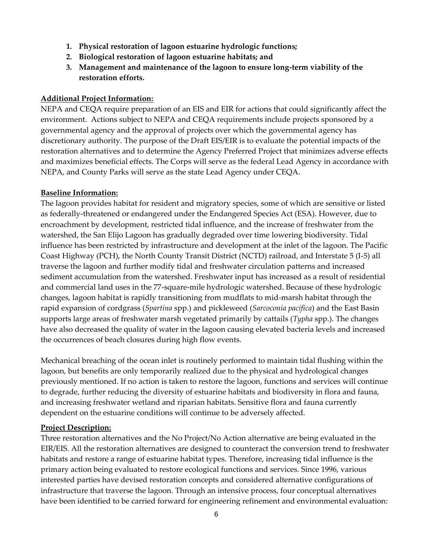- **1. Physical restoration of lagoon estuarine hydrologic functions;**
- **2. Biological restoration of lagoon estuarine habitats; and**
- **3. Management and maintenance of the lagoon to ensure long-term viability of the restoration efforts.**

#### **Additional Project Information:**

NEPA and CEQA require preparation of an EIS and EIR for actions that could significantly affect the environment. Actions subject to NEPA and CEQA requirements include projects sponsored by a governmental agency and the approval of projects over which the governmental agency has discretionary authority. The purpose of the Draft EIS/EIR is to evaluate the potential impacts of the restoration alternatives and to determine the Agency Preferred Project that minimizes adverse effects and maximizes beneficial effects. The Corps will serve as the federal Lead Agency in accordance with NEPA, and County Parks will serve as the state Lead Agency under CEQA.

#### **Baseline Information:**

The lagoon provides habitat for resident and migratory species, some of which are sensitive or listed as federally-threatened or endangered under the Endangered Species Act (ESA). However, due to encroachment by development, restricted tidal influence, and the increase of freshwater from the watershed, the San Elijo Lagoon has gradually degraded over time lowering biodiversity. Tidal influence has been restricted by infrastructure and development at the inlet of the lagoon. The Pacific Coast Highway (PCH), the North County Transit District (NCTD) railroad, and Interstate 5 (I-5) all traverse the lagoon and further modify tidal and freshwater circulation patterns and increased sediment accumulation from the watershed. Freshwater input has increased as a result of residential and commercial land uses in the 77-square-mile hydrologic watershed. Because of these hydrologic changes, lagoon habitat is rapidly transitioning from mudflats to mid-marsh habitat through the rapid expansion of cordgrass (*Spartina* spp.) and pickleweed (*Sarcoconia pacifica*) and the East Basin supports large areas of freshwater marsh vegetated primarily by cattails (*Typha* spp.). The changes have also decreased the quality of water in the lagoon causing elevated bacteria levels and increased the occurrences of beach closures during high flow events.

Mechanical breaching of the ocean inlet is routinely performed to maintain tidal flushing within the lagoon, but benefits are only temporarily realized due to the physical and hydrological changes previously mentioned. If no action is taken to restore the lagoon, functions and services will continue to degrade, further reducing the diversity of estuarine habitats and biodiversity in flora and fauna, and increasing freshwater wetland and riparian habitats. Sensitive flora and fauna currently dependent on the estuarine conditions will continue to be adversely affected.

#### **Project Description:**

Three restoration alternatives and the No Project/No Action alternative are being evaluated in the EIR/EIS. All the restoration alternatives are designed to counteract the conversion trend to freshwater habitats and restore a range of estuarine habitat types. Therefore, increasing tidal influence is the primary action being evaluated to restore ecological functions and services. Since 1996, various interested parties have devised restoration concepts and considered alternative configurations of infrastructure that traverse the lagoon. Through an intensive process, four conceptual alternatives have been identified to be carried forward for engineering refinement and environmental evaluation: